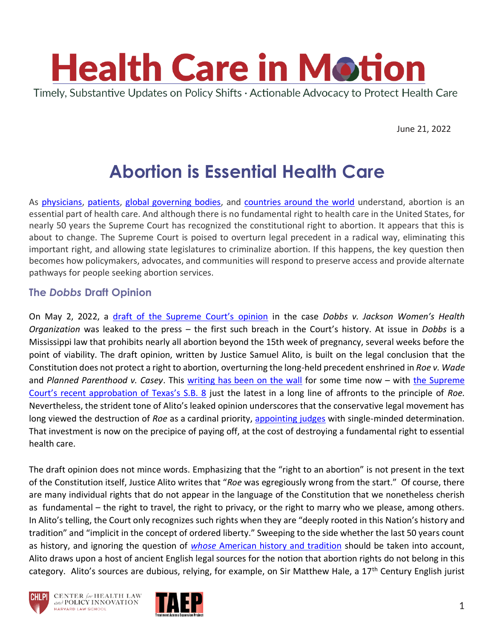

June 21, 2022

# **Abortion is Essential Health Care**

As [physicians,](https://www.acog.org/advocacy/facts-are-important/abortion-is-healthcare) [patients,](https://nymag.com/news/features/abortion-stories-2013-11/) [global governing bodies,](https://www.ohchr.org/Documents/HRBodies/CCPR/CCPR_C_GC_36.pdf) and [countries around the world](https://www.cfr.org/article/abortion-law-global-comparisons) understand, abortion is an essential part of health care. And although there is no fundamental right to health care in the United States, for nearly 50 years the Supreme Court has recognized the constitutional right to abortion. It appears that this is about to change. The Supreme Court is poised to overturn legal precedent in a radical way, eliminating this important right, and allowing state legislatures to criminalize abortion. If this happens, the key question then becomes how policymakers, advocates, and communities will respond to preserve access and provide alternate pathways for people seeking abortion services.

### **The** *Dobbs* **Draft Opinion**

On May 2, 2022, a [draft of the Supreme Court's opinion](https://www.politico.com/f/?id=00000180-874f-dd36-a38c-c74f98520000) in the case *Dobbs v. Jackson Women's Health Organization* was leaked to the press – the first such breach in the Court's history. At issue in *Dobbs* is a Mississippi law that prohibits nearly all abortion beyond the 15th week of pregnancy, several weeks before the point of viability. The draft opinion, written by Justice Samuel Alito, is built on the legal conclusion that the Constitution does not protect a right to abortion, overturning the long-held precedent enshrined in *Roe v. Wade*  and *Planned Parenthood v. Casey*. This [writing has been on the wall](https://abcnews.go.com/Politics/ginsburgs-death-end-roe-wade-time-experts/story?id=73119646) for some time now – with the Supreme [Court's recent approbation of Texas's S.B. 8](https://www.washingtonpost.com/outlook/2021/12/11/texas-supreme-court-abortion-sb8-analysis/) just the latest in a long line of affronts to the principle of *Roe.*  Nevertheless, the strident tone of Alito's leaked opinion underscores that the conservative legal movement has long viewed the destruction of *Roe* as a cardinal priority, [appointing judges](https://www.washingtonpost.com/politics/2017/live-updates/trump-white-house/neil-gorsuch-confirmation-hearings-updates-and-analysis-on-the-supreme-court-nominee/trump-promised-judges-who-would-overturn-roe-v-wade/) with single-minded determination. That investment is now on the precipice of paying off, at the cost of destroying a fundamental right to essential health care.

The draft opinion does not mince words. Emphasizing that the "right to an abortion" is not present in the text of the Constitution itself, Justice Alito writes that "*Roe* was egregiously wrong from the start." Of course, there are many individual rights that do not appear in the language of the Constitution that we nonetheless cherish as fundamental – the right to travel, the right to privacy, or the right to marry who we please, among others. In Alito's telling, the Court only recognizes such rights when they are "deeply rooted in this Nation's history and tradition" and "implicit in the concept of ordered liberty." Sweeping to the side whether the last 50 years count as history, and ignoring the question of *whose* [American history and tradition](https://www.motherjones.com/politics/2022/05/alito-opinion-roe-missing-history-abortion/) should be taken into account, Alito draws upon a host of ancient English legal sources for the notion that abortion rights do not belong in this category. Alito's sources are dubious, relying, for example, on Sir Matthew Hale, a 17<sup>th</sup> Century English jurist





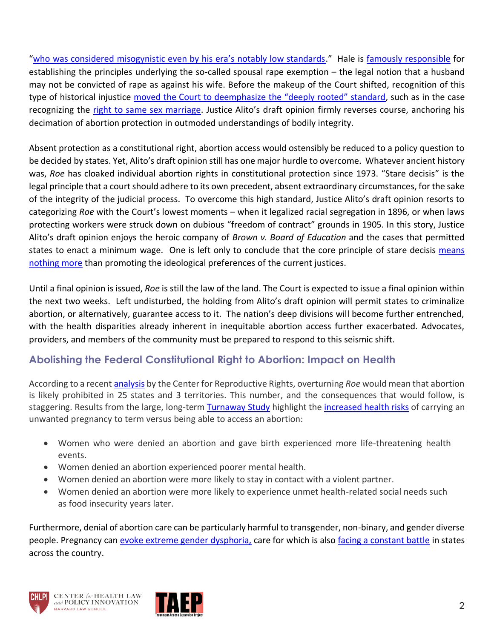["who was considered misogynistic even by his era's notably low standards.](https://www.propublica.org/article/abortion-roe-wade-alito-scotus-hale)" Hale is [famously responsible](https://www.nytimes.com/2022/05/19/world/asia/abortion-lord-matthew-hale.html) for establishing the principles underlying the so-called spousal rape exemption – the legal notion that a husband may not be convicted of rape as against his wife. Before the makeup of the Court shifted, recognition of this type of historical injustice [moved the Court to deemphasize the "deeply rooted" standard](https://www.scotusblog.com/2015/11/academic-highlight-yoshino-on-obergefell-v-hodges/), such as in the case recognizing the [right to same sex marriage](https://www.supremecourt.gov/opinions/14pdf/14-556_3204.pdf). Justice Alito's draft opinion firmly reverses course, anchoring his decimation of abortion protection in outmoded understandings of bodily integrity.

Absent protection as a constitutional right, abortion access would ostensibly be reduced to a policy question to be decided by states. Yet, Alito's draft opinion still has one major hurdle to overcome. Whatever ancient history was, *Roe* has cloaked individual abortion rights in constitutional protection since 1973. "Stare decisis" is the legal principle that a court should adhere to its own precedent, absent extraordinary circumstances, for the sake of the integrity of the judicial process. To overcome this high standard, Justice Alito's draft opinion resorts to categorizing *Roe* with the Court's lowest moments – when it legalized racial segregation in 1896, or when laws protecting workers were struck down on dubious "freedom of contract" grounds in 1905. In this story, Justice Alito's draft opinion enjoys the heroic company of *Brown v. Board of Education* and the cases that permitted states to enact a minimum wage. One is left only to conclude that the core principle of stare decisis [means](https://twitter.com/StrictScrutiny_/status/1234468590398640130?s=20&t=W-ohNCsyULv53rRWWX3tlA)  [nothing more](https://twitter.com/StrictScrutiny_/status/1234468590398640130?s=20&t=W-ohNCsyULv53rRWWX3tlA) than promoting the ideological preferences of the current justices.

Until a final opinion is issued, *Roe* is still the law of the land. The Court is expected to issue a final opinion within the next two weeks. Left undisturbed, the holding from Alito's draft opinion will permit states to criminalize abortion, or alternatively, guarantee access to it. The nation's deep divisions will become further entrenched, with the health disparities already inherent in inequitable abortion access further exacerbated. Advocates, providers, and members of the community must be prepared to respond to this seismic shift.

## **Abolishing the Federal Constitutional Right to Abortion: Impact on Health**

According to a recent [analysis](https://reproductiverights.org/maps/what-if-roe-fell/) by the Center for Reproductive Rights, overturning *Roe* would mean that abortion is likely prohibited in 25 states and 3 territories. This number, and the consequences that would follow, is staggering. Results from the large, long-term [Turnaway Study](https://www.ansirh.org/research/ongoing/turnaway-study) highlight the *increased health risks* of carrying an unwanted pregnancy to term versus being able to access an abortion:

- Women who were denied an abortion and gave birth experienced more life-threatening health events.
- Women denied an abortion experienced poorer mental health.
- Women denied an abortion were more likely to stay in contact with a violent partner.
- Women denied an abortion were more likely to experience unmet health-related social needs such as food insecurity years later.

Furthermore, denial of abortion care can be particularly harmful to transgender, non-binary, and gender diverse people. Pregnancy ca[n evoke extreme gender dysphoria,](https://www.texastribune.org/2021/12/21/texas-abortion-law-transgender-pregnancy/) care for which is als[o facing a constant battle](https://thehill.com/changing-america/respect/equality/3261036-yes-abortion-bans-affect-transgender-and-nonbinary-people-too/) in states across the country.



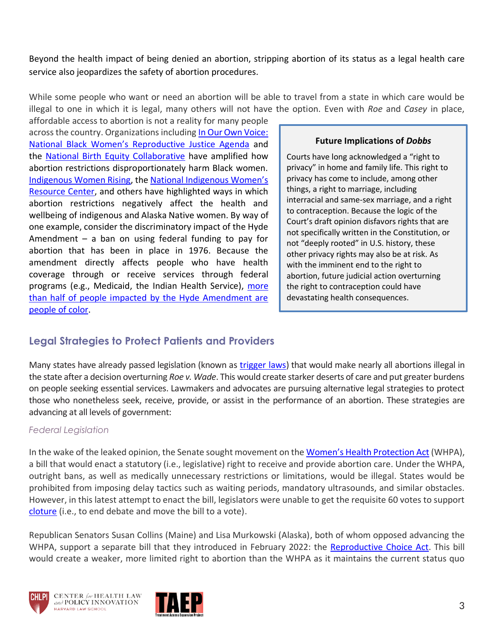Beyond the health impact of being denied an abortion, stripping abortion of its status as a legal health care service also jeopardizes the safety of abortion procedures.

While some people who want or need an abortion will be able to travel from a state in which care would be illegal to one in which it is legal, many others will not have the option. Even with *Roe* and *Casey* in place,

affordable access to abortion is not a reality for many people across the country. Organizations including In Our Own Voice: [National Black Women's Reproductive Justice Agenda](http://blackrj.org/wp-content/uploads/2020/04/6217-IOOV_Abortion.pdf) and the [National Birth Equity Collaborative](https://birthequity.org/blackrjagenda/) have amplified how abortion restrictions disproportionately harm Black women. [Indigenous Women Rising,](https://www.iwrising.org/) the [National Indigenous Women's](https://www.niwrc.org/news/action-alert-amicus-brief-dobbs-v-jackson)  [Resource Center,](https://www.niwrc.org/news/action-alert-amicus-brief-dobbs-v-jackson) and others have highlighted ways in which abortion restrictions negatively affect the health and wellbeing of indigenous and Alaska Native women. By way of one example, consider the discriminatory impact of the Hyde Amendment  $-$  a ban on using federal funding to pay for abortion that has been in place in 1976. Because the amendment directly affects people who have health coverage through or receive services through federal programs (e.g., Medicaid, the Indian Health Service), more [than half of people impacted by the Hyde Amendment are](https://www.guttmacher.org/fact-sheet/hyde-amendment)  [people of color.](https://www.guttmacher.org/fact-sheet/hyde-amendment)

#### **Future Implications of** *Dobbs*

Courts have long acknowledged a "right to privacy" in home and family life. This right to privacy has come to include, among other things, a right to marriage, including interracial and same-sex marriage, and a right to contraception. Because the logic of the Court's draft opinion disfavors rights that are not specifically written in the Constitution, or not "deeply rooted" in U.S. history, these other privacy rights may also be at risk. As with the imminent end to the right to abortion, future judicial action overturning the right to contraception could have devastating health consequences.

## **Legal Strategies to Protect Patients and Providers**

Many states have already passed legislation (known as [trigger laws\)](https://www.nytimes.com/2022/05/04/us/abortion-trigger-laws.html) that would make nearly all abortions illegal in the state after a decision overturning *Roe v. Wade*. This would create starker deserts of care and put greater burdens on people seeking essential services. Lawmakers and advocates are pursuing alternative legal strategies to protect those who nonetheless seek, receive, provide, or assist in the performance of an abortion. These strategies are advancing at all levels of government:

#### *Federal Legislation*

In the wake of the leaked opinion, the Senate sought movement on the Women'[s Health Protection Act](https://www.congress.gov/bill/117th-congress/senate-bill/4132) (WHPA), a bill that would enact a statutory (i.e., legislative) right to receive and provide abortion care. Under the WHPA, outright bans, as well as medically unnecessary restrictions or limitations, would be illegal. States would be prohibited from imposing delay tactics such as waiting periods, mandatory ultrasounds, and similar obstacles. However, in this latest attempt to enact the bill, legislators were unable to get the requisite 60 votes to support [cloture](https://www.brookings.edu/policy2020/votervital/what-is-the-senate-filibuster-and-what-would-it-take-to-eliminate-it/) (i.e., to end debate and move the bill to a vote).

Republican Senators Susan Collins (Maine) and Lisa Murkowski (Alaska), both of whom opposed advancing the WHPA, support a separate bill that they introduced in February 2022: the [Reproductive Choice Act.](https://www.congress.gov/bill/117th-congress/senate-bill/3713/text?q=%7B%22search%22%3A%5B%22S.3713%22%2C%22S.3713%22%5D%7D&r=1&s=3) This bill would create a weaker, more limited right to abortion than the WHPA as it maintains the current status quo



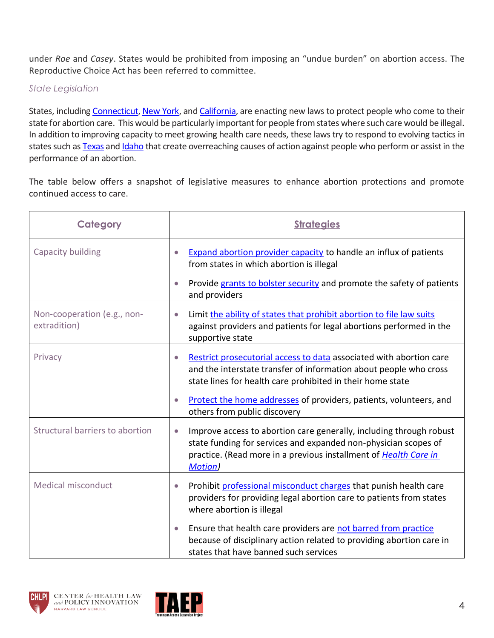under *Roe* and *Casey*. States would be prohibited from imposing an "undue burden" on abortion access. The Reproductive Choice Act has been referred to committee.

### *State Legislation*

States, including [Connecticut,](https://portal.ct.gov/Office-of-the-Governor/News/Press-Releases/2022/05-2022/Watch-Governor-Lamont-Signs-Reproductive-Rights-Legislation) [New York,](https://www.politico.com/news/2022/06/13/abortion-new-york-scotus-00039191) and [California,](https://www.plannedparenthoodaction.org/planned-parenthood-affiliates-california/media/ppac-applaud-ca-assembly-passing-ab-2091) are enacting new laws to protect people who come to their state for abortion care. This would be particularly important for people from states where such care would be illegal. In addition to improving capacity to meet growing health care needs, these laws try to respond to evolving tactics in states such a[s Texas](https://www.aclu.org/news/reproductive-freedom/heres-what-to-know-about-texas-radical-new-abortion-ban) an[d Idaho](https://www.acluidaho.org/en/press-releases/governor-little-signs-bounty-hunting-abortion-ban) that create overreaching causes of action against people who perform or assist in the performance of an abortion.

The table below offers a snapshot of legislative measures to enhance abortion protections and promote continued access to care.

| Category                                    | <b>Strategies</b>                                                                                                                                                                                                                          |
|---------------------------------------------|--------------------------------------------------------------------------------------------------------------------------------------------------------------------------------------------------------------------------------------------|
| Capacity building                           | <b>Expand abortion provider capacity to handle an influx of patients</b><br>from states in which abortion is illegal                                                                                                                       |
|                                             | Provide grants to bolster security and promote the safety of patients<br>$\bullet$<br>and providers                                                                                                                                        |
| Non-cooperation (e.g., non-<br>extradition) | Limit the ability of states that prohibit abortion to file law suits<br>$\bullet$<br>against providers and patients for legal abortions performed in the<br>supportive state                                                               |
| Privacy                                     | Restrict prosecutorial access to data associated with abortion care<br>and the interstate transfer of information about people who cross<br>state lines for health care prohibited in their home state                                     |
|                                             | Protect the home addresses of providers, patients, volunteers, and<br>others from public discovery                                                                                                                                         |
| Structural barriers to abortion             | Improve access to abortion care generally, including through robust<br>$\bullet$<br>state funding for services and expanded non-physician scopes of<br>practice. (Read more in a previous installment of Health Care in<br><b>Motion</b> ) |
| <b>Medical misconduct</b>                   | Prohibit professional misconduct charges that punish health care<br>$\bullet$<br>providers for providing legal abortion care to patients from states<br>where abortion is illegal                                                          |
|                                             | Ensure that health care providers are not barred from practice<br>$\bullet$<br>because of disciplinary action related to providing abortion care in<br>states that have banned such services                                               |



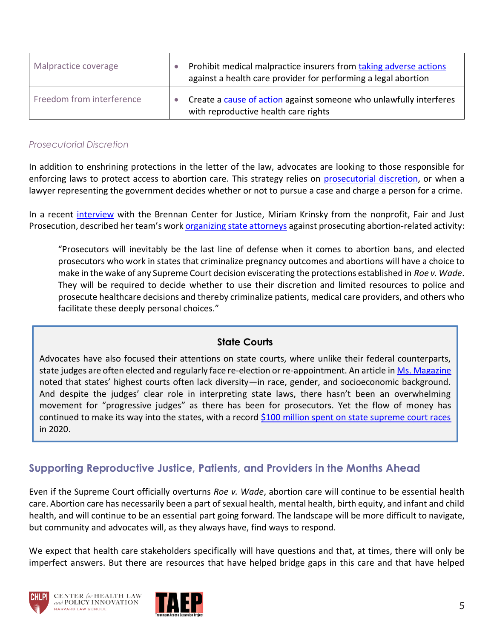| Malpractice coverage      | Prohibit medical malpractice insurers from taking adverse actions<br>against a health care provider for performing a legal abortion |
|---------------------------|-------------------------------------------------------------------------------------------------------------------------------------|
| Freedom from interference | Create a cause of action against someone who unlawfully interferes<br>with reproductive health care rights                          |

#### *Prosecutorial Discretion*

In addition to enshrining protections in the letter of the law, advocates are looking to those responsible for enforcing laws to protect access to abortion care. This strategy relies on [prosecutorial discretion,](https://www.msn.com/en-us/news/us/if-roe-falls-some-das-wont-enforce-anti-abortion-laws/ar-AAYxQnx?ocid=uxbndlbing) or when a lawyer representing the government decides whether or not to pursue a case and charge a person for a crime.

In a recent [interview](https://www.brennancenter.org/our-work/research-reports/prosecutors-pledging-not-enforce-abortion-bans) with the Brennan Center for Justice, Miriam Krinsky from the nonprofit, Fair and Just Prosecution, described her team's work organizing [state attorneys](https://fairandjustprosecution.org/wp-content/uploads/2020/10/Joint-Statement-from-Elected-Prosecutors-on-Abortion-Laws-10-14-20.pdf) against prosecuting abortion-related activity:

"Prosecutors will inevitably be the last line of defense when it comes to abortion bans, and elected prosecutors who work in states that criminalize pregnancy outcomes and abortions will have a choice to make in the wake of any Supreme Court decision eviscerating the protections established in *Roe v. Wade*. They will be required to decide whether to use their discretion and limited resources to police and prosecute healthcare decisions and thereby criminalize patients, medical care providers, and others who facilitate these deeply personal choices."

### **State Courts**

Advocates have also focused their attentions on state courts, where unlike their federal counterparts, state judges are often elected and regularly face re-election or re-appointment. An article in [Ms. Magazine](https://msmagazine.com/2021/11/09/state-courts-constitutions-abortion-access-supreme-court/) noted that states' highest courts often lack diversity—in race, gender, and socioeconomic background. And despite the judges' clear role in interpreting state laws, there hasn't been an overwhelming movement for "progressive judges" as there has been for prosecutors. Yet the flow of money has continued to make its way into the states, with a record [\\$100 million spent on state supreme court races](https://www.politico.com/news/2022/06/13/state-supreme-courts-bottom-of-the-ballot-but-top-concern-if-roe-falls-00038934) in 2020.

## **Supporting Reproductive Justice, Patients, and Providers in the Months Ahead**

Even if the Supreme Court officially overturns *Roe v. Wade*, abortion care will continue to be essential health care. Abortion care has necessarily been a part of sexual health, mental health, birth equity, and infant and child health, and will continue to be an essential part going forward. The landscape will be more difficult to navigate, but community and advocates will, as they always have, find ways to respond.

We expect that health care stakeholders specifically will have questions and that, at times, there will only be imperfect answers. But there are resources that have helped bridge gaps in this care and that have helped